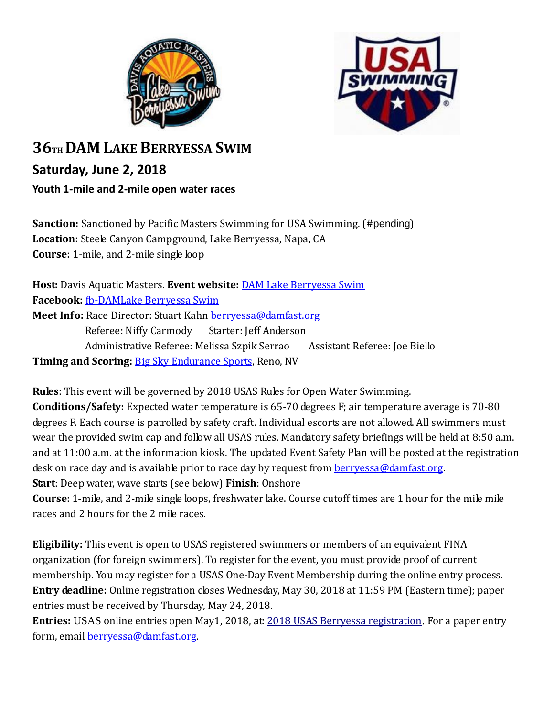



# **36TH DAM LAKE BERRYESSA SWIM**

## **Saturday, June 2, 2018**

### **Youth 1-mile and 2-mile open water races**

**Sanction:** Sanctioned by Pacific Masters Swimming for USA Swimming. (#pending) **Location:** Steele Canyon Campground, Lake Berryessa, Napa, CA **Course:** 1-mile, and 2-mile single loop

**Host:** Davis Aquatic Masters. **Event website:** [DAM Lake Berryessa Swim](http://www.damfast.org/w/page.cfm?pagetitle=Open%20Water) **Facebook:** [fb-DAMLake Berryessa Swim](https://www.facebook.com/pages/DAM-Lake-Berryessa-Swim/268535123281345) **Meet Info:** Race Director: Stuart Kahn [berryessa@damfast.org](mailto:berryessa@damfast.org) Referee: Niffy Carmody Starter: Jeff Anderson Administrative Referee: Melissa Szpik Serrao Assistant Referee: Joe Biello **Timing and Scoring:** [Big Sky Endurance Sports,](http://www.bigskyendurancesports.com/) Reno, NV

**Rules**: This event will be governed by 2018 USAS Rules for Open Water Swimming.

**Conditions/Safety:** Expected water temperature is 65-70 degrees F; air temperature average is 70-80 degrees F. Each course is patrolled by safety craft. Individual escorts are not allowed. All swimmers must wear the provided swim cap and follow all USAS rules. Mandatory safety briefings will be held at 8:50 a.m. and at 11:00 a.m. at the information kiosk. The updated Event Safety Plan will be posted at the registration desk on race day and is available prior to race day by request from [berryessa@damfast.org.](mailto:berryessa@damfast.org) **Start**: Deep water, wave starts (see below) **Finish**: Onshore

**Course**: 1-mile, and 2-mile single loops, freshwater lake. Course cutoff times are 1 hour for the mile mile races and 2 hours for the 2 mile races.

**Eligibility:** This event is open to USAS registered swimmers or members of an equivalent FINA organization (for foreign swimmers). To register for the event, you must provide proof of current membership. You may register for a USAS One-Day Event Membership during the online entry process. **Entry deadline:** Online registration closes Wednesday, May 30, 2018 at 11:59 PM (Eastern time); paper entries must be received by Thursday, May 24, 2018.

**Entries:** USAS online entries open May1, 2018, at: 2018 USAS [Berryessa registration](mailto:2018%20USAS%20Berryessa%20registration). For a paper entry form, email [berryessa@damfast.org.](mailto:berryessa@damfast.org)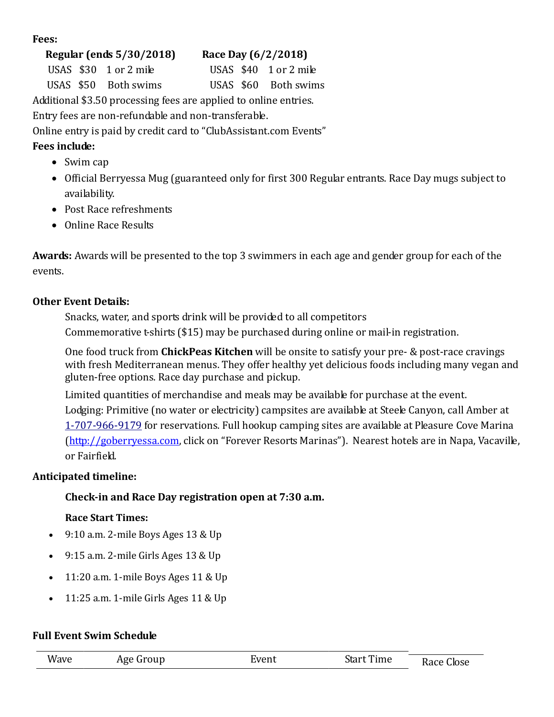#### **Fees:**

| Regular (ends 5/30/2018) | Race Day (6/2/2018)    |  |  |
|--------------------------|------------------------|--|--|
| USAS $$30$ 1 or 2 mile   | USAS $$40$ 1 or 2 mile |  |  |
| USAS \$50 Both swims     | USAS \$60 Both swims   |  |  |

Additional \$3.50 processing fees are applied to online entries.

Entry fees are non-refundable and non-transferable.

Online entry is paid by credit card to "ClubAssistant.com Events"

#### **Fees include:**

- Swim cap
- Official Berryessa Mug (guaranteed only for first 300 Regular entrants. Race Day mugs subject to availability.
- Post Race refreshments
- Online Race Results

**Awards:** Awards will be presented to the top 3 swimmers in each age and gender group for each of the events.

#### **Other Event Details:**

Snacks, water, and sports drink will be provided to all competitors Commemorative t-shirts (\$15) may be purchased during online or mail-in registration.

One food truck from **ChickPeas Kitchen** will be onsite to satisfy your pre- & post-race cravings with fresh Mediterranean menus. They offer healthy yet delicious foods including many vegan and gluten-free options. Race day purchase and pickup.

Limited quantities of merchandise and meals may be available for purchase at the event. Lodging: Primitive (no water or electricity) campsites are available at Steele Canyon, call Amber at [1-707-966-9179](mailto:berryessa@damfast.org) for reservations. Full hookup camping sites are available at Pleasure Cove Marina [\(http://goberryessa.com](http://goberryessa.com/), click on "Forever Resorts Marinas"). Nearest hotels are in Napa, Vacaville, or Fairfield.

#### **Anticipated timeline:**

#### **Check-in and Race Day registration open at 7:30 a.m.**

#### **Race Start Times:**

- 9:10 a.m. 2-mile Boys Ages 13 & Up
- 9:15 a.m. 2-mile Girls Ages 13 & Up
- $\bullet$  11:20 a.m. 1-mile Boys Ages 11 & Up
- $\bullet$  11:25 a.m. 1-mile Girls Ages 11 & Up

#### **Full Event Swim Schedule**

| Wave | Age Group | Event | Time<br>Start i | Race Close |
|------|-----------|-------|-----------------|------------|